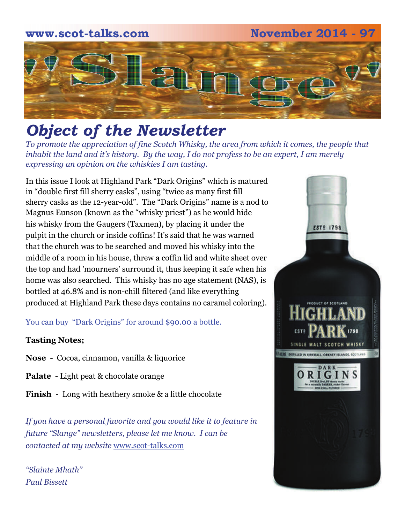## **www.scot-talks.com November 2014 - 97** [2]

### *Object of the Newsletter*

*To promote the appreciation of fine Scotch Whisky, the area from which it comes, the people that inhabit the land and it's history. By the way, I do not profess to be an expert, I am merely expressing an opinion on the whiskies I am tasting.* 

In this issue I look at Highland Park "Dark Origins" which is matured in "double first fill sherry casks", using "twice as many first fill sherry casks as the 12-year-old". The "Dark Origins" name is a nod to Magnus Eunson (known as the "whisky priest") as he would hide his whisky from the Gaugers (Taxmen), by placing it under the pulpit in the church or inside coffins! It's said that he was warned that the church was to be searched and moved his whisky into the middle of a room in his house, threw a coffin lid and white sheet over the top and had 'mourners' surround it, thus keeping it safe when his home was also searched. This whisky has no age statement (NAS), is bottled at 46.8% and is non-chill filtered (and like everything produced at Highland Park these days contains no caramel coloring).

You can buy "Dark Origins" for around \$90.00 a bottle.

#### **Tasting Notes;**

- **Nose**  Cocoa, cinnamon, vanilla & liquorice
- **Palate**  Light peat & chocolate orange

**Finish** - Long with heathery smoke & a little chocolate

*If you have a personal favorite and you would like it to feature in future "Slange" newsletters, please let me know. I can be contacted at my website* [www.scot-talks.com](http://www.scot-talks.com/default.html)

*"Slainte Mhath" Paul Bissett*

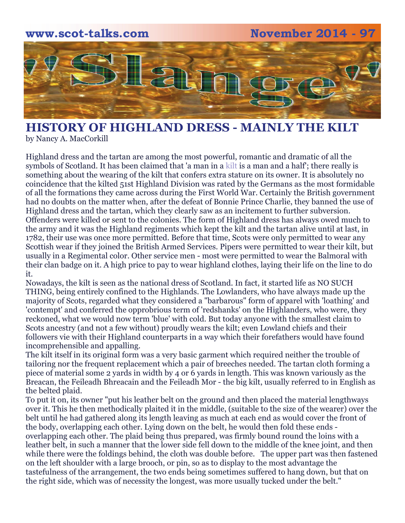

### **HISTORY OF HIGHLAND DRESS - MAINLY THE KILT**  by Nancy A. MacCorkill

Highland dress and the tartan are among the most powerful, romantic and dramatic of all the symbols of Scotland. It has been claimed that 'a man in a [kilt](http://scottish-history.com/www.scotweb.co.uk/kilts) is a man and a half'; there really is something about the wearing of the kilt that confers extra stature on its owner. It is absolutely no coincidence that the kilted 51st Highland Division was rated by the Germans as the most formidable of all the formations they came across during the First World War. Certainly the British government had no doubts on the matter when, after the defeat of Bonnie Prince Charlie, they banned the use of Highland dress and the tartan, which they clearly saw as an incitement to further subversion. Offenders were killed or sent to the colonies. The form of Highland dress has always owed much to the army and it was the Highland regiments which kept the kilt and the tartan alive until at last, in 1782, their use was once more permitted. Before that time, Scots were only permitted to wear any Scottish wear if they joined the British Armed Services. Pipers were permitted to wear their kilt, but usually in a Regimental color. Other service men - most were permitted to wear the Balmoral with their clan badge on it. A high price to pay to wear highland clothes, laying their life on the line to do it.

Nowadays, the kilt is seen as the national dress of Scotland. In fact, it started life as NO SUCH THING, being entirely confined to the Highlands. The Lowlanders, who have always made up the majority of Scots, regarded what they considered a "barbarous" form of apparel with 'loathing' and 'contempt' and conferred the opprobrious term of 'redshanks' on the Highlanders, who were, they reckoned, what we would now term 'blue' with cold. But today anyone with the smallest claim to Scots ancestry (and not a few without) proudly wears the kilt; even Lowland chiefs and their followers vie with their Highland counterparts in a way which their forefathers would have found incomprehensible and appalling.

The kilt itself in its original form was a very basic garment which required neither the trouble of tailoring nor the frequent replacement which a pair of breeches needed. The tartan cloth forming a piece of material some 2 yards in width by 4 or 6 yards in length. This was known variously as the Breacan, the Feileadh Bhreacain and the Feileadh Mor - the big kilt, usually referred to in English as the belted plaid.

To put it on, its owner "put his leather belt on the ground and then placed the material lengthways over it. This he then methodically plaited it in the middle, (suitable to the size of the wearer) over the belt until he had gathered along its length leaving as much at each end as would cover the front of the body, overlapping each other. Lying down on the belt, he would then fold these ends overlapping each other. The plaid being thus prepared, was firmly bound round the loins with a leather belt, in such a manner that the lower side fell down to the middle of the knee joint, and then while there were the foldings behind, the cloth was double before. The upper part was then fastened on the left shoulder with a large brooch, or pin, so as to display to the most advantage the tastefulness of the arrangement, the two ends being sometimes suffered to hang down, but that on the right side, which was of necessity the longest, was more usually tucked under the belt."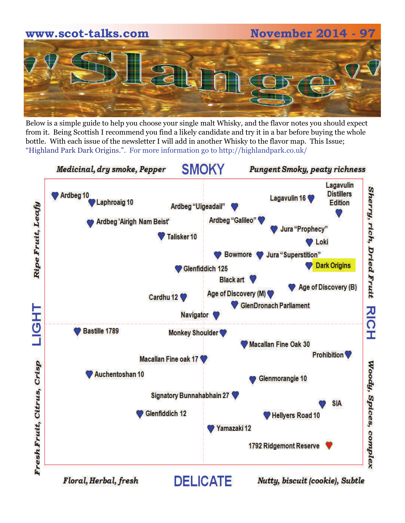# **www.scot-talks.com November 2014 - 97**

Below is a simple guide to help you choose your single malt Whisky, and the flavor notes you should expect from it. Being Scottish I recommend you find a likely candidate and try it in a bar before buying the whole bottle. With each issue of the newsletter I will add in another Whisky to the flavor map. This Issue; "Highland Park Dark Origins.". For more information go to http://highlandpark.co.uk/

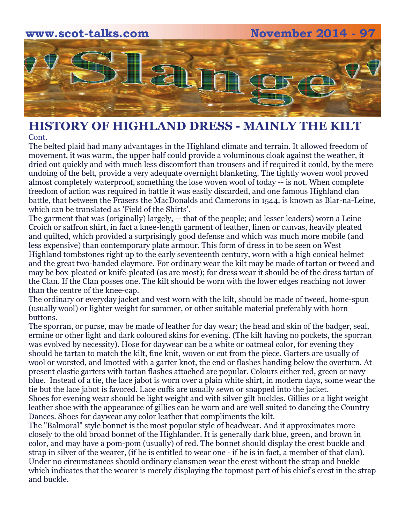## **www.scot-talks.com November 2014 - 97** d F

#### **HISTORY OF HIGHLAND DRESS - MAINLY THE KILT**  Cont.

The belted plaid had many advantages in the Highland climate and terrain. It allowed freedom of movement, it was warm, the upper half could provide a voluminous cloak against the weather, it dried out quickly and with much less discomfort than trousers and if required it could, by the mere undoing of the belt, provide a very adequate overnight blanketing. The tightly woven wool proved almost completely waterproof, something the lose woven wool of today -- is not. When complete freedom of action was required in battle it was easily discarded, and one famous Highland clan battle, that between the Frasers the MacDonalds and Camerons in 1544, is known as Blar-na-Leine, which can be translated as 'Field of the Shirts'.

The garment that was (originally) largely, -- that of the people; and lesser leaders) worn a Leine Croich or saffron shirt, in fact a knee-length garment of leather, linen or canvas, heavily pleated and quilted, which provided a surprisingly good defense and which was much more mobile (and less expensive) than contemporary plate armour. This form of dress in to be seen on West Highland tombstones right up to the early seventeenth century, worn with a high conical helmet and the great two-handed claymore. For ordinary wear the kilt may be made of tartan or tweed and may be box-pleated or knife-pleated (as are most); for dress wear it should be of the dress tartan of the Clan. If the Clan posses one. The kilt should be worn with the lower edges reaching not lower than the centre of the knee-cap.

The ordinary or everyday jacket and vest worn with the kilt, should be made of tweed, home-spun (usually wool) or lighter weight for summer, or other suitable material preferably with horn buttons.

The sporran, or purse, may be made of leather for day wear; the head and skin of the badger, seal, ermine or other light and dark coloured skins for evening. (The kilt having no pockets, the sporran was evolved by necessity). Hose for daywear can be a white or oatmeal color, for evening they should be tartan to match the kilt, fine knit, woven or cut from the piece. Garters are usually of wool or worsted, and knotted with a garter knot, the end or flashes handing below the overturn. At present elastic garters with tartan flashes attached are popular. Colours either red, green or navy blue. Instead of a tie, the lace jabot is worn over a plain white shirt, in modern days, some wear the tie but the lace jabot is favored. Lace cuffs are usually sewn or snapped into the jacket. Shoes for evening wear should be light weight and with silver gilt buckles. Gillies or a light weight leather shoe with the appearance of gillies can be worn and are well suited to dancing the Country Dances. Shoes for daywear any color leather that compliments the kilt.

The "Balmoral" style bonnet is the most popular style of headwear. And it approximates more closely to the old broad bonnet of the Highlander. It is generally dark blue, green, and brown in color, and may have a pom-pom (usually) of red. The bonnet should display the crest buckle and strap in silver of the wearer, (if he is entitled to wear one - if he is in fact, a member of that clan). Under no circumstances should ordinary clansmen wear the crest without the strap and buckle which indicates that the wearer is merely displaying the topmost part of his chief's crest in the strap and buckle.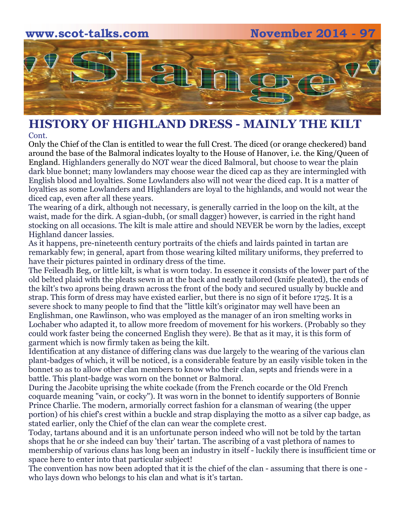### **www.scot-talks.com November 2014 - 9**  $\geq$

#### **HISTORY OF HIGHLAND DRESS - MAINLY THE KILT**  Cont.

Only the Chief of the Clan is entitled to wear the full Crest. The diced (or orange checkered) band around the base of the Balmoral indicates loyalty to the House of Hanover, i.e. the King/Queen of England. Highlanders generally do NOT wear the diced Balmoral, but choose to wear the plain dark blue bonnet; many lowlanders may choose wear the diced cap as they are intermingled with English blood and loyalties. Some Lowlanders also will not wear the diced cap. It is a matter of loyalties as some Lowlanders and Highlanders are loyal to the highlands, and would not wear the diced cap, even after all these years.

The wearing of a dirk, although not necessary, is generally carried in the loop on the kilt, at the waist, made for the dirk. A sgian-dubh, (or small dagger) however, is carried in the right hand stocking on all occasions. The kilt is male attire and should NEVER be worn by the ladies, except Highland dancer lassies.

As it happens, pre-nineteenth century portraits of the chiefs and lairds painted in tartan are remarkably few; in general, apart from those wearing kilted military uniforms, they preferred to have their pictures painted in ordinary dress of the time.

The Feileadh Beg, or little kilt, is what is worn today. In essence it consists of the lower part of the old belted plaid with the pleats sewn in at the back and neatly tailored (knife pleated), the ends of the kilt's two aprons being drawn across the front of the body and secured usually by buckle and strap. This form of dress may have existed earlier, but there is no sign of it before 1725. It is a severe shock to many people to find that the "little kilt's originator may well have been an Englishman, one Rawlinson, who was employed as the manager of an iron smelting works in Lochaber who adapted it, to allow more freedom of movement for his workers. (Probably so they could work faster being the concerned English they were). Be that as it may, it is this form of garment which is now firmly taken as being the kilt.

Identification at any distance of differing clans was due largely to the wearing of the various clan plant-badges of which, it will be noticed, is a considerable feature by an easily visible token in the bonnet so as to allow other clan members to know who their clan, septs and friends were in a battle. This plant-badge was worn on the bonnet or Balmoral.

During the Jacobite uprising the white cockade (from the French cocarde or the Old French coquarde meaning "vain, or cocky"). It was worn in the bonnet to identify supporters of Bonnie Prince Charlie. The modern, armorially correct fashion for a clansman of wearing (the upper portion) of his chief's crest within a buckle and strap displaying the motto as a silver cap badge, as stated earlier, only the Chief of the clan can wear the complete crest.

Today, tartans abound and it is an unfortunate person indeed who will not be told by the tartan shops that he or she indeed can buy 'their' tartan. The ascribing of a vast plethora of names to membership of various clans has long been an industry in itself - luckily there is insufficient time or space here to enter into that particular subject!

The convention has now been adopted that it is the chief of the clan - assuming that there is one who lays down who belongs to his clan and what is it's tartan.